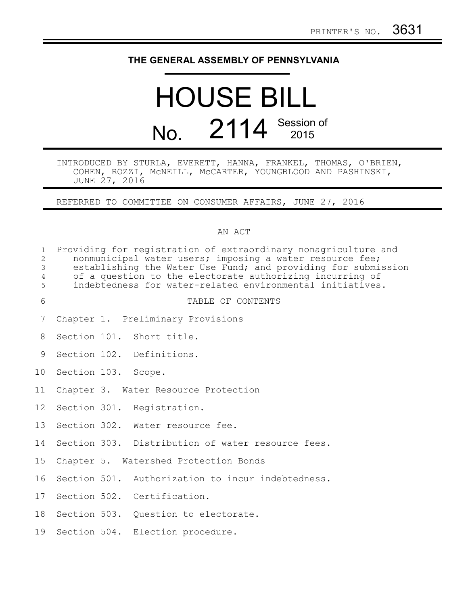## **THE GENERAL ASSEMBLY OF PENNSYLVANIA**

# HOUSE BILL No. 2114 Session of

INTRODUCED BY STURLA, EVERETT, HANNA, FRANKEL, THOMAS, O'BRIEN, COHEN, ROZZI, McNEILL, McCARTER, YOUNGBLOOD AND PASHINSKI, JUNE 27, 2016

REFERRED TO COMMITTEE ON CONSUMER AFFAIRS, JUNE 27, 2016

#### AN ACT

| $\mathbf 1$<br>$\overline{c}$<br>3<br>$\overline{4}$<br>5 | Providing for registration of extraordinary nonagriculture and<br>nonmunicipal water users; imposing a water resource fee;<br>establishing the Water Use Fund; and providing for submission<br>of a question to the electorate authorizing incurring of<br>indebtedness for water-related environmental initiatives. |  |
|-----------------------------------------------------------|----------------------------------------------------------------------------------------------------------------------------------------------------------------------------------------------------------------------------------------------------------------------------------------------------------------------|--|
| 6                                                         | TABLE OF CONTENTS                                                                                                                                                                                                                                                                                                    |  |
| 7                                                         | Chapter 1. Preliminary Provisions                                                                                                                                                                                                                                                                                    |  |
| 8                                                         | Section 101. Short title.                                                                                                                                                                                                                                                                                            |  |
| 9                                                         | Section 102. Definitions.                                                                                                                                                                                                                                                                                            |  |
| 10                                                        | Section 103. Scope.                                                                                                                                                                                                                                                                                                  |  |
| 11                                                        | Chapter 3. Water Resource Protection                                                                                                                                                                                                                                                                                 |  |
| 12 <sup>°</sup>                                           | Section 301. Registration.                                                                                                                                                                                                                                                                                           |  |
| 13                                                        | Section 302. Water resource fee.                                                                                                                                                                                                                                                                                     |  |
| 14                                                        | Section 303. Distribution of water resource fees.                                                                                                                                                                                                                                                                    |  |
| 15                                                        | Chapter 5. Watershed Protection Bonds                                                                                                                                                                                                                                                                                |  |
| 16                                                        | Section 501. Authorization to incur indebtedness.                                                                                                                                                                                                                                                                    |  |
| 17                                                        | Section 502. Certification.                                                                                                                                                                                                                                                                                          |  |
| 18                                                        | Section 503. Question to electorate.                                                                                                                                                                                                                                                                                 |  |
| 19                                                        | Section 504. Election procedure.                                                                                                                                                                                                                                                                                     |  |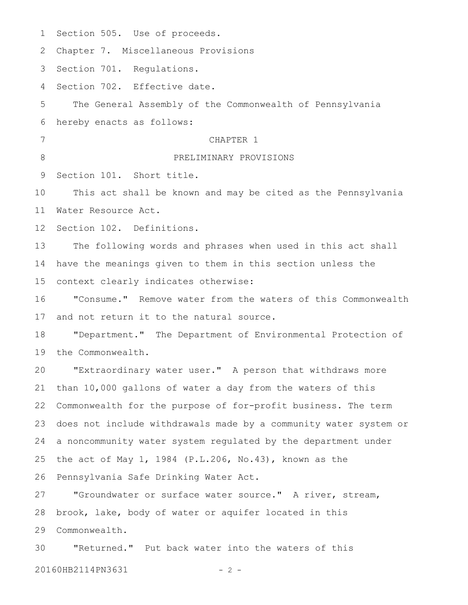| $\mathbf 1$     | Section 505. Use of proceeds.                                    |
|-----------------|------------------------------------------------------------------|
| 2               | Chapter 7. Miscellaneous Provisions                              |
| 3               | Section 701. Requlations.                                        |
| 4               | Section 702. Effective date.                                     |
| 5               | The General Assembly of the Commonwealth of Pennsylvania         |
| 6               | hereby enacts as follows:                                        |
| 7               | CHAPTER 1                                                        |
| 8               | PRELIMINARY PROVISIONS                                           |
| 9               | Section 101. Short title.                                        |
| 10              | This act shall be known and may be cited as the Pennsylvania     |
| 11              | Water Resource Act.                                              |
| 12 <sup>°</sup> | Section 102. Definitions.                                        |
| 13              | The following words and phrases when used in this act shall      |
| 14              | have the meanings given to them in this section unless the       |
| 15              | context clearly indicates otherwise:                             |
| 16              | "Consume." Remove water from the waters of this Commonwealth     |
| 17              | and not return it to the natural source.                         |
| 18              | "Department." The Department of Environmental Protection of      |
| 19              | the Commonwealth.                                                |
| 20              | "Extraordinary water user." A person that withdraws more         |
| 21              | than 10,000 gallons of water a day from the waters of this       |
| 22              | Commonwealth for the purpose of for-profit business. The term    |
| 23              | does not include withdrawals made by a community water system or |
| 24              | a noncommunity water system regulated by the department under    |
| 25              | the act of May 1, 1984 (P.L.206, No.43), known as the            |
| 26              | Pennsylvania Safe Drinking Water Act.                            |
| 27              | "Groundwater or surface water source." A river, stream,          |
| 28              | brook, lake, body of water or aquifer located in this            |
| 29              | Commonwealth.                                                    |
|                 |                                                                  |

"Returned." Put back water into the waters of this 3020160HB2114PN3631 - 2 -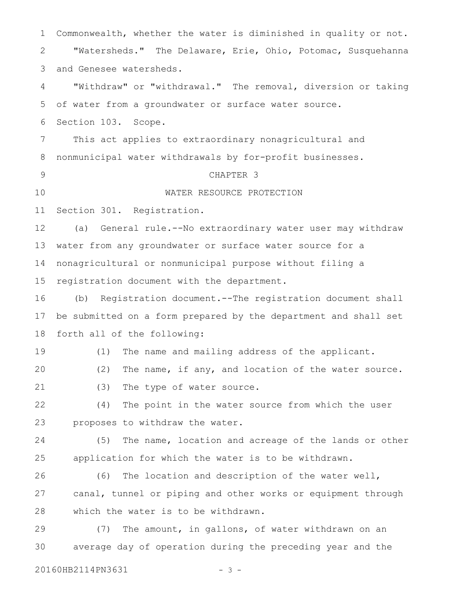| 1  | Commonwealth, whether the water is diminished in quality or not. |
|----|------------------------------------------------------------------|
| 2  | "Watersheds." The Delaware, Erie, Ohio, Potomac, Susquehanna     |
| 3  | and Genesee watersheds.                                          |
| 4  | "Withdraw" or "withdrawal." The removal, diversion or taking     |
| 5  | of water from a groundwater or surface water source.             |
| 6  | Section 103. Scope.                                              |
| 7  | This act applies to extraordinary nonagricultural and            |
| 8  | nonmunicipal water withdrawals by for-profit businesses.         |
| 9  | CHAPTER 3                                                        |
| 10 | WATER RESOURCE PROTECTION                                        |
| 11 | Section 301. Registration.                                       |
| 12 | General rule.--No extraordinary water user may withdraw<br>(a)   |
| 13 | water from any groundwater or surface water source for a         |
| 14 | nonagricultural or nonmunicipal purpose without filing a         |
| 15 | registration document with the department.                       |
| 16 | Registration document.--The registration document shall<br>(b)   |
| 17 | be submitted on a form prepared by the department and shall set  |
| 18 | forth all of the following:                                      |
| 19 | The name and mailing address of the applicant.<br>(1)            |
| 20 | (2) The name, if any, and location of the water source.          |
| 21 | (3)<br>The type of water source.                                 |
| 22 | (4)<br>The point in the water source from which the user         |
| 23 | proposes to withdraw the water.                                  |
| 24 | (5)<br>The name, location and acreage of the lands or other      |
| 25 | application for which the water is to be withdrawn.              |
| 26 | The location and description of the water well,<br>(6)           |
| 27 | canal, tunnel or piping and other works or equipment through     |
| 28 | which the water is to be withdrawn.                              |
| 29 | The amount, in gallons, of water withdrawn on an<br>(7)          |
| 30 | average day of operation during the preceding year and the       |
|    | 20160HB2114PN3631<br>- 3 -                                       |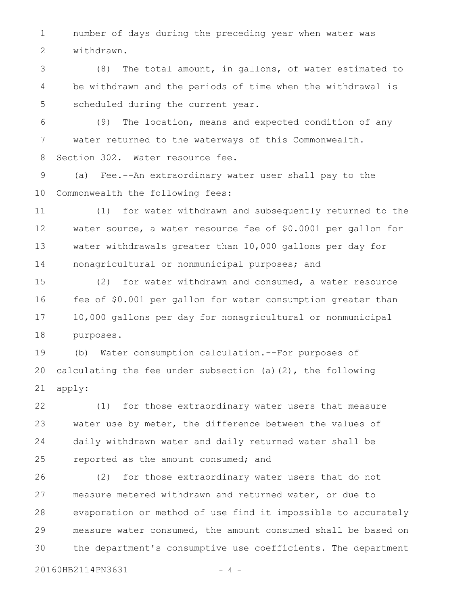number of days during the preceding year when water was withdrawn. 1 2

(8) The total amount, in gallons, of water estimated to be withdrawn and the periods of time when the withdrawal is scheduled during the current year. 3 4 5

(9) The location, means and expected condition of any water returned to the waterways of this Commonwealth. Section 302. Water resource fee. 6 7 8

(a) Fee.--An extraordinary water user shall pay to the Commonwealth the following fees: 9 10

(1) for water withdrawn and subsequently returned to the water source, a water resource fee of \$0.0001 per gallon for water withdrawals greater than 10,000 gallons per day for nonagricultural or nonmunicipal purposes; and 11 12 13 14

(2) for water withdrawn and consumed, a water resource fee of \$0.001 per gallon for water consumption greater than 10,000 gallons per day for nonagricultural or nonmunicipal purposes. 15 16 17 18

(b) Water consumption calculation.--For purposes of calculating the fee under subsection (a)(2), the following apply: 19 20 21

(1) for those extraordinary water users that measure water use by meter, the difference between the values of daily withdrawn water and daily returned water shall be reported as the amount consumed; and 22 23 24 25

(2) for those extraordinary water users that do not measure metered withdrawn and returned water, or due to evaporation or method of use find it impossible to accurately measure water consumed, the amount consumed shall be based on the department's consumptive use coefficients. The department 26 27 28 29 30

20160HB2114PN3631 - 4 -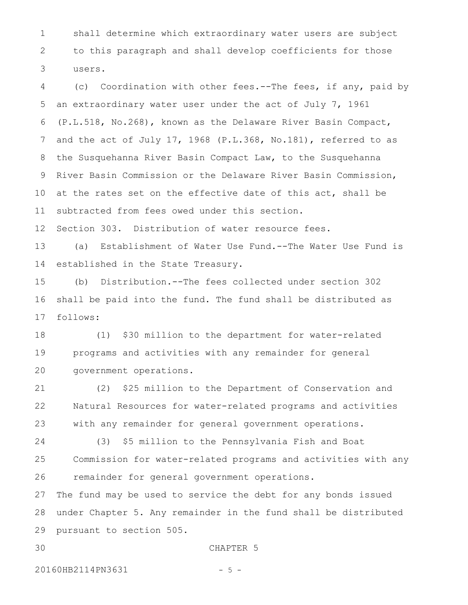shall determine which extraordinary water users are subject to this paragraph and shall develop coefficients for those users. 1 2 3

(c) Coordination with other fees.--The fees, if any, paid by an extraordinary water user under the act of July 7, 1961 (P.L.518, No.268), known as the Delaware River Basin Compact, and the act of July 17, 1968 (P.L.368, No.181), referred to as the Susquehanna River Basin Compact Law, to the Susquehanna River Basin Commission or the Delaware River Basin Commission, at the rates set on the effective date of this act, shall be subtracted from fees owed under this section. 4 5 6 7 8 9 10 11

Section 303. Distribution of water resource fees. 12

(a) Establishment of Water Use Fund.--The Water Use Fund is established in the State Treasury. 13 14

(b) Distribution.--The fees collected under section 302 shall be paid into the fund. The fund shall be distributed as follows: 15 16 17

(1) \$30 million to the department for water-related programs and activities with any remainder for general government operations. 18 19 20

(2) \$25 million to the Department of Conservation and Natural Resources for water-related programs and activities with any remainder for general government operations. 21 22 23

(3) \$5 million to the Pennsylvania Fish and Boat Commission for water-related programs and activities with any remainder for general government operations. 24 25 26

The fund may be used to service the debt for any bonds issued under Chapter 5. Any remainder in the fund shall be distributed pursuant to section 505. 27 28 29

30

#### CHAPTER 5

20160HB2114PN3631 - 5 -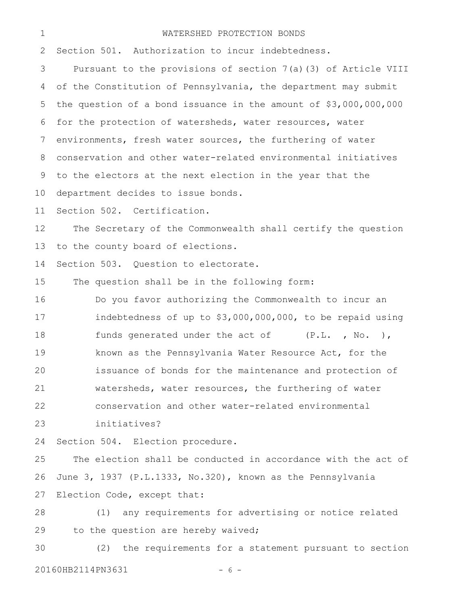### WATERSHED PROTECTION BONDS

Section 501. Authorization to incur indebtedness. Pursuant to the provisions of section 7(a)(3) of Article VIII of the Constitution of Pennsylvania, the department may submit the question of a bond issuance in the amount of \$3,000,000,000 for the protection of watersheds, water resources, water environments, fresh water sources, the furthering of water conservation and other water-related environmental initiatives to the electors at the next election in the year that the department decides to issue bonds. Section 502. Certification. The Secretary of the Commonwealth shall certify the question to the county board of elections. Section 503. Question to electorate. The question shall be in the following form: Do you favor authorizing the Commonwealth to incur an indebtedness of up to \$3,000,000,000, to be repaid using funds generated under the act of (P.L., No. ), known as the Pennsylvania Water Resource Act, for the issuance of bonds for the maintenance and protection of watersheds, water resources, the furthering of water conservation and other water-related environmental initiatives? Section 504. Election procedure. The election shall be conducted in accordance with the act of June 3, 1937 (P.L.1333, No.320), known as the Pennsylvania Election Code, except that: (1) any requirements for advertising or notice related to the question are hereby waived; (2) the requirements for a statement pursuant to section 20160HB2114PN3631 - 6 -2 3 4 5 6 7 8 9 10 11 12 13 14 15 16 17 18 19 20 21 22 23 24 25 26 27 28 29 30

1